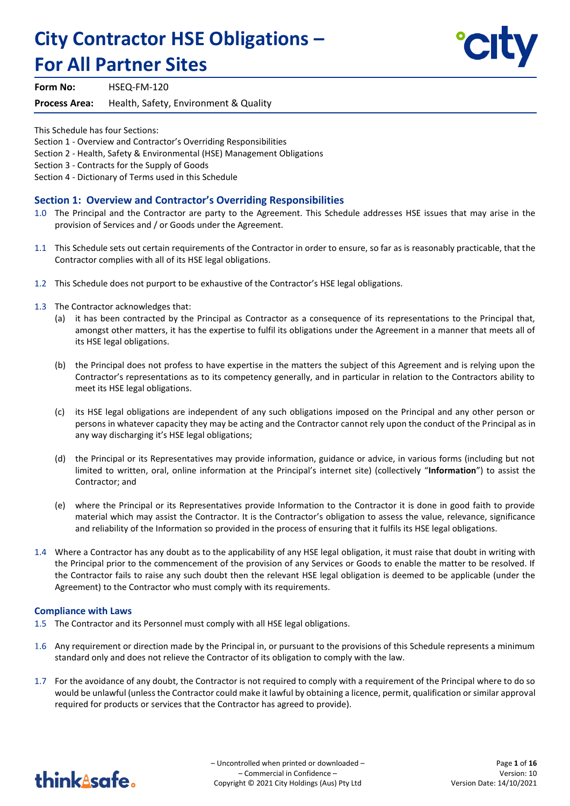# **City Contractor HSE Obligations – For All Partner Sites**



**Form No:** HSEQ-FM-120

**Process Area:** Health, Safety, Environment & Quality

This Schedule has four Sections:

Section 1 - Overview and Contractor's Overriding Responsibilities

Section 2 - Health, Safety & Environmental (HSE) Management Obligations

Section 3 - Contracts for the Supply of Goods

Section 4 - Dictionary of Terms used in this Schedule

## **Section 1: Overview and Contractor's Overriding Responsibilities**

- 1.0 The Principal and the Contractor are party to the Agreement. This Schedule addresses HSE issues that may arise in the provision of Services and / or Goods under the Agreement.
- 1.1 This Schedule sets out certain requirements of the Contractor in order to ensure, so far as is reasonably practicable, that the Contractor complies with all of its HSE legal obligations.
- 1.2 This Schedule does not purport to be exhaustive of the Contractor's HSE legal obligations.
- 1.3 The Contractor acknowledges that:
	- (a) it has been contracted by the Principal as Contractor as a consequence of its representations to the Principal that, amongst other matters, it has the expertise to fulfil its obligations under the Agreement in a manner that meets all of its HSE legal obligations.
	- (b) the Principal does not profess to have expertise in the matters the subject of this Agreement and is relying upon the Contractor's representations as to its competency generally, and in particular in relation to the Contractors ability to meet its HSE legal obligations.
	- (c) its HSE legal obligations are independent of any such obligations imposed on the Principal and any other person or persons in whatever capacity they may be acting and the Contractor cannot rely upon the conduct of the Principal as in any way discharging it's HSE legal obligations;
	- (d) the Principal or its Representatives may provide information, guidance or advice, in various forms (including but not limited to written, oral, online information at the Principal's internet site) (collectively "**Information**") to assist the Contractor; and
	- (e) where the Principal or its Representatives provide Information to the Contractor it is done in good faith to provide material which may assist the Contractor. It is the Contractor's obligation to assess the value, relevance, significance and reliability of the Information so provided in the process of ensuring that it fulfils its HSE legal obligations.
- 1.4 Where a Contractor has any doubt as to the applicability of any HSE legal obligation, it must raise that doubt in writing with the Principal prior to the commencement of the provision of any Services or Goods to enable the matter to be resolved. If the Contractor fails to raise any such doubt then the relevant HSE legal obligation is deemed to be applicable (under the Agreement) to the Contractor who must comply with its requirements.

#### **Compliance with Laws**

- 1.5 The Contractor and its Personnel must comply with all HSE legal obligations.
- 1.6 Any requirement or direction made by the Principal in, or pursuant to the provisions of this Schedule represents a minimum standard only and does not relieve the Contractor of its obligation to comply with the law.
- 1.7 For the avoidance of any doubt, the Contractor is not required to comply with a requirement of the Principal where to do so would be unlawful (unless the Contractor could make it lawful by obtaining a licence, permit, qualification or similar approval required for products or services that the Contractor has agreed to provide).

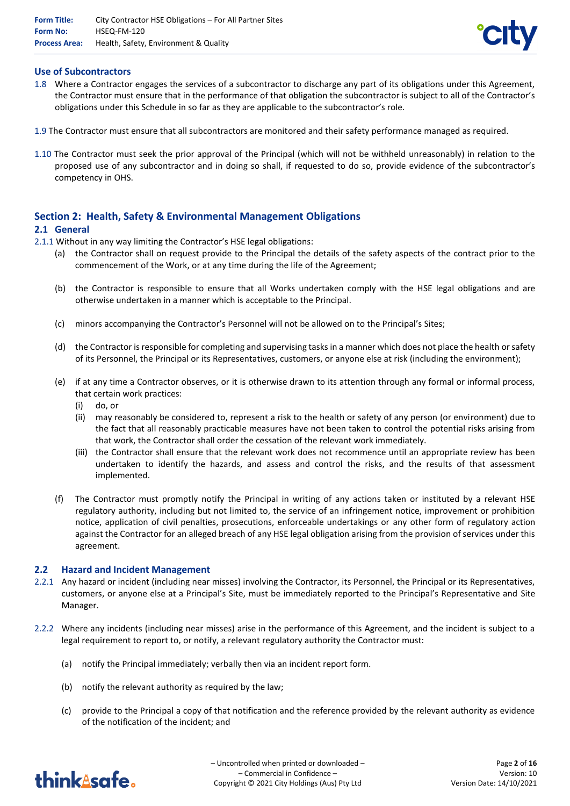

## **Use of Subcontractors**

- 1.8 Where a Contractor engages the services of a subcontractor to discharge any part of its obligations under this Agreement, the Contractor must ensure that in the performance of that obligation the subcontractor is subject to all of the Contractor's obligations under this Schedule in so far as they are applicable to the subcontractor's role.
- 1.9 The Contractor must ensure that all subcontractors are monitored and their safety performance managed as required.
- 1.10 The Contractor must seek the prior approval of the Principal (which will not be withheld unreasonably) in relation to the proposed use of any subcontractor and in doing so shall, if requested to do so, provide evidence of the subcontractor's competency in OHS.

# **Section 2: Health, Safety & Environmental Management Obligations**

## **2.1 General**

- 2.1.1 Without in any way limiting the Contractor's HSE legal obligations:
	- (a) the Contractor shall on request provide to the Principal the details of the safety aspects of the contract prior to the commencement of the Work, or at any time during the life of the Agreement;
	- (b) the Contractor is responsible to ensure that all Works undertaken comply with the HSE legal obligations and are otherwise undertaken in a manner which is acceptable to the Principal.
	- (c) minors accompanying the Contractor's Personnel will not be allowed on to the Principal's Sites;
	- (d) the Contractor is responsible for completing and supervising tasks in a manner which does not place the health or safety of its Personnel, the Principal or its Representatives, customers, or anyone else at risk (including the environment);
	- (e) if at any time a Contractor observes, or it is otherwise drawn to its attention through any formal or informal process, that certain work practices:
		- (i) do, or
		- (ii) may reasonably be considered to, represent a risk to the health or safety of any person (or environment) due to the fact that all reasonably practicable measures have not been taken to control the potential risks arising from that work, the Contractor shall order the cessation of the relevant work immediately.
		- (iii) the Contractor shall ensure that the relevant work does not recommence until an appropriate review has been undertaken to identify the hazards, and assess and control the risks, and the results of that assessment implemented.
	- (f) The Contractor must promptly notify the Principal in writing of any actions taken or instituted by a relevant HSE regulatory authority, including but not limited to, the service of an infringement notice, improvement or prohibition notice, application of civil penalties, prosecutions, enforceable undertakings or any other form of regulatory action against the Contractor for an alleged breach of any HSE legal obligation arising from the provision of services under this agreement.

#### **2.2 Hazard and Incident Management**

- 2.2.1 Any hazard or incident (including near misses) involving the Contractor, its Personnel, the Principal or its Representatives, customers, or anyone else at a Principal's Site, must be immediately reported to the Principal's Representative and Site Manager.
- 2.2.2 Where any incidents (including near misses) arise in the performance of this Agreement, and the incident is subject to a legal requirement to report to, or notify, a relevant regulatory authority the Contractor must:
	- (a) notify the Principal immediately; verbally then via an incident report form.
	- (b) notify the relevant authority as required by the law;
	- (c) provide to the Principal a copy of that notification and the reference provided by the relevant authority as evidence of the notification of the incident; and

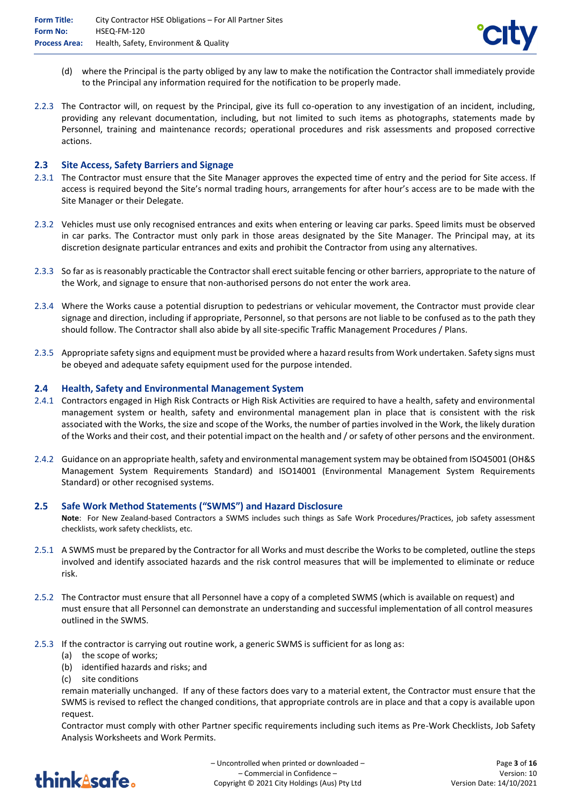

- (d) where the Principal is the party obliged by any law to make the notification the Contractor shall immediately provide to the Principal any information required for the notification to be properly made.
- 2.2.3 The Contractor will, on request by the Principal, give its full co-operation to any investigation of an incident, including, providing any relevant documentation, including, but not limited to such items as photographs, statements made by Personnel, training and maintenance records; operational procedures and risk assessments and proposed corrective actions.

## **2.3 Site Access, Safety Barriers and Signage**

- 2.3.1 The Contractor must ensure that the Site Manager approves the expected time of entry and the period for Site access. If access is required beyond the Site's normal trading hours, arrangements for after hour's access are to be made with the Site Manager or their Delegate.
- 2.3.2 Vehicles must use only recognised entrances and exits when entering or leaving car parks. Speed limits must be observed in car parks. The Contractor must only park in those areas designated by the Site Manager. The Principal may, at its discretion designate particular entrances and exits and prohibit the Contractor from using any alternatives.
- 2.3.3 So far as is reasonably practicable the Contractor shall erect suitable fencing or other barriers, appropriate to the nature of the Work, and signage to ensure that non-authorised persons do not enter the work area.
- 2.3.4 Where the Works cause a potential disruption to pedestrians or vehicular movement, the Contractor must provide clear signage and direction, including if appropriate, Personnel, so that persons are not liable to be confused as to the path they should follow. The Contractor shall also abide by all site-specific Traffic Management Procedures / Plans.
- 2.3.5 Appropriate safety signs and equipment must be provided where a hazard results from Work undertaken. Safety signs must be obeyed and adequate safety equipment used for the purpose intended.

#### **2.4 Health, Safety and Environmental Management System**

- 2.4.1 Contractors engaged in High Risk Contracts or High Risk Activities are required to have a health, safety and environmental management system or health, safety and environmental management plan in place that is consistent with the risk associated with the Works, the size and scope of the Works, the number of parties involved in the Work, the likely duration of the Works and their cost, and their potential impact on the health and / or safety of other persons and the environment.
- 2.4.2 Guidance on an appropriate health, safety and environmental management system may be obtained from ISO45001 (OH&S Management System Requirements Standard) and ISO14001 (Environmental Management System Requirements Standard) or other recognised systems.

#### **2.5 Safe Work Method Statements ("SWMS") and Hazard Disclosure**

**Note**: For New Zealand-based Contractors a SWMS includes such things as Safe Work Procedures/Practices, job safety assessment checklists, work safety checklists, etc.

- 2.5.1 A SWMS must be prepared by the Contractor for all Works and must describe the Works to be completed, outline the steps involved and identify associated hazards and the risk control measures that will be implemented to eliminate or reduce risk.
- 2.5.2 The Contractor must ensure that all Personnel have a copy of a completed SWMS (which is available on request) and must ensure that all Personnel can demonstrate an understanding and successful implementation of all control measures outlined in the SWMS.
- 2.5.3 If the contractor is carrying out routine work, a generic SWMS is sufficient for as long as:
	- (a) the scope of works;
	- (b) identified hazards and risks; and
	- (c) site conditions

remain materially unchanged. If any of these factors does vary to a material extent, the Contractor must ensure that the SWMS is revised to reflect the changed conditions, that appropriate controls are in place and that a copy is available upon request.

Contractor must comply with other Partner specific requirements including such items as Pre-Work Checklists, Job Safety Analysis Worksheets and Work Permits.

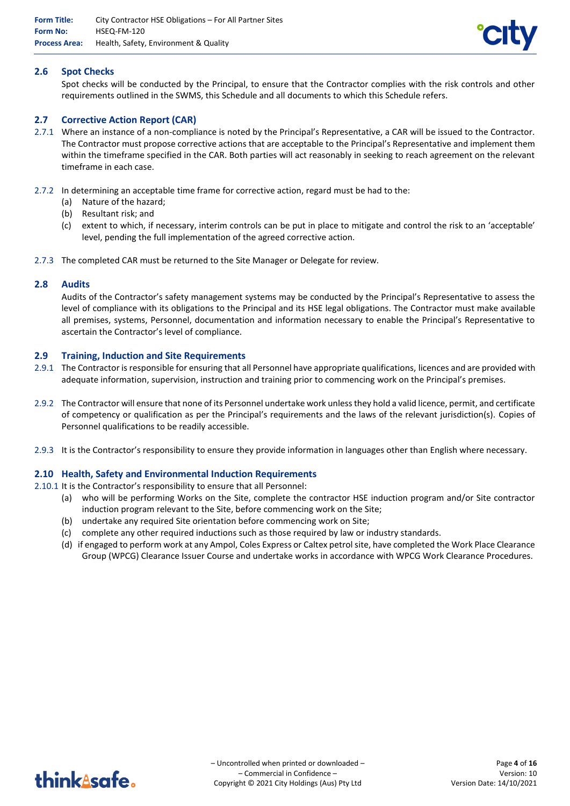

## **2.6 Spot Checks**

Spot checks will be conducted by the Principal, to ensure that the Contractor complies with the risk controls and other requirements outlined in the SWMS, this Schedule and all documents to which this Schedule refers.

## **2.7 Corrective Action Report (CAR)**

- 2.7.1 Where an instance of a non-compliance is noted by the Principal's Representative, a CAR will be issued to the Contractor. The Contractor must propose corrective actions that are acceptable to the Principal's Representative and implement them within the timeframe specified in the CAR. Both parties will act reasonably in seeking to reach agreement on the relevant timeframe in each case.
- 2.7.2 In determining an acceptable time frame for corrective action, regard must be had to the:
	- (a) Nature of the hazard;
	- (b) Resultant risk; and
	- (c) extent to which, if necessary, interim controls can be put in place to mitigate and control the risk to an 'acceptable' level, pending the full implementation of the agreed corrective action.
- 2.7.3 The completed CAR must be returned to the Site Manager or Delegate for review.

#### **2.8 Audits**

Audits of the Contractor's safety management systems may be conducted by the Principal's Representative to assess the level of compliance with its obligations to the Principal and its HSE legal obligations. The Contractor must make available all premises, systems, Personnel, documentation and information necessary to enable the Principal's Representative to ascertain the Contractor's level of compliance.

#### **2.9 Training, Induction and Site Requirements**

- 2.9.1 The Contractor is responsible for ensuring that all Personnel have appropriate qualifications, licences and are provided with adequate information, supervision, instruction and training prior to commencing work on the Principal's premises.
- 2.9.2 The Contractor will ensure that none of its Personnel undertake work unless they hold a valid licence, permit, and certificate of competency or qualification as per the Principal's requirements and the laws of the relevant jurisdiction(s). Copies of Personnel qualifications to be readily accessible.
- 2.9.3 It is the Contractor's responsibility to ensure they provide information in languages other than English where necessary.

#### **2.10 Health, Safety and Environmental Induction Requirements**

2.10.1 It is the Contractor's responsibility to ensure that all Personnel:

- (a) who will be performing Works on the Site, complete the contractor HSE induction program and/or Site contractor induction program relevant to the Site, before commencing work on the Site;
- (b) undertake any required Site orientation before commencing work on Site;
- (c) complete any other required inductions such as those required by law or industry standards.
- (d) if engaged to perform work at any Ampol, Coles Express or Caltex petrol site, have completed the Work Place Clearance Group (WPCG) Clearance Issuer Course and undertake works in accordance with WPCG Work Clearance Procedures.

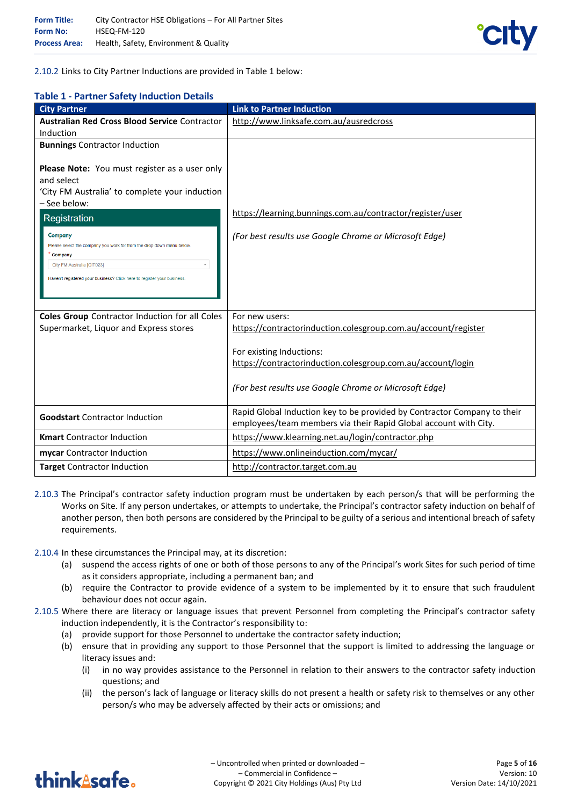

2.10.2 Links to City Partner Inductions are provided in Table 1 below:

## **Table 1 - Partner Safety Induction Details**

| <b>City Partner</b>                                                                                                                                                                                                                                                                                                                                                              | <b>Link to Partner Induction</b>                                                                                                                  |
|----------------------------------------------------------------------------------------------------------------------------------------------------------------------------------------------------------------------------------------------------------------------------------------------------------------------------------------------------------------------------------|---------------------------------------------------------------------------------------------------------------------------------------------------|
| <b>Australian Red Cross Blood Service Contractor</b>                                                                                                                                                                                                                                                                                                                             | http://www.linksafe.com.au/ausredcross                                                                                                            |
| Induction                                                                                                                                                                                                                                                                                                                                                                        |                                                                                                                                                   |
| <b>Bunnings Contractor Induction</b>                                                                                                                                                                                                                                                                                                                                             |                                                                                                                                                   |
| Please Note: You must register as a user only<br>and select<br>'City FM Australia' to complete your induction<br>- See below:<br>Registration<br>Company<br>Please select the company you work for from the drop down menu below.<br>Company<br>City FM Australia [CIT023]<br>$\overline{\mathbf{v}}$<br>Haven't registered your business? Click here to register your business. | https://learning.bunnings.com.au/contractor/register/user<br>(For best results use Google Chrome or Microsoft Edge)                               |
|                                                                                                                                                                                                                                                                                                                                                                                  |                                                                                                                                                   |
| <b>Coles Group</b> Contractor Induction for all Coles                                                                                                                                                                                                                                                                                                                            | For new users:                                                                                                                                    |
| Supermarket, Liquor and Express stores                                                                                                                                                                                                                                                                                                                                           | https://contractorinduction.colesgroup.com.au/account/register                                                                                    |
|                                                                                                                                                                                                                                                                                                                                                                                  | For existing Inductions:<br>https://contractorinduction.colesgroup.com.au/account/login<br>(For best results use Google Chrome or Microsoft Edge) |
| <b>Goodstart</b> Contractor Induction                                                                                                                                                                                                                                                                                                                                            | Rapid Global Induction key to be provided by Contractor Company to their<br>employees/team members via their Rapid Global account with City.      |
| <b>Kmart</b> Contractor Induction                                                                                                                                                                                                                                                                                                                                                | https://www.klearning.net.au/login/contractor.php                                                                                                 |
| mycar Contractor Induction                                                                                                                                                                                                                                                                                                                                                       | https://www.onlineinduction.com/mycar/                                                                                                            |
| <b>Target Contractor Induction</b>                                                                                                                                                                                                                                                                                                                                               | http://contractor.target.com.au                                                                                                                   |

- 2.10.3 The Principal's contractor safety induction program must be undertaken by each person/s that will be performing the Works on Site. If any person undertakes, or attempts to undertake, the Principal's contractor safety induction on behalf of another person, then both persons are considered by the Principal to be guilty of a serious and intentional breach of safety requirements.
- 2.10.4 In these circumstances the Principal may, at its discretion:
	- (a) suspend the access rights of one or both of those persons to any of the Principal's work Sites for such period of time as it considers appropriate, including a permanent ban; and
	- (b) require the Contractor to provide evidence of a system to be implemented by it to ensure that such fraudulent behaviour does not occur again.
- 2.10.5 Where there are literacy or language issues that prevent Personnel from completing the Principal's contractor safety induction independently, it is the Contractor's responsibility to:
	- (a) provide support for those Personnel to undertake the contractor safety induction;
	- (b) ensure that in providing any support to those Personnel that the support is limited to addressing the language or literacy issues and:
		- (i) in no way provides assistance to the Personnel in relation to their answers to the contractor safety induction questions; and
		- (ii) the person's lack of language or literacy skills do not present a health or safety risk to themselves or any other person/s who may be adversely affected by their acts or omissions; and

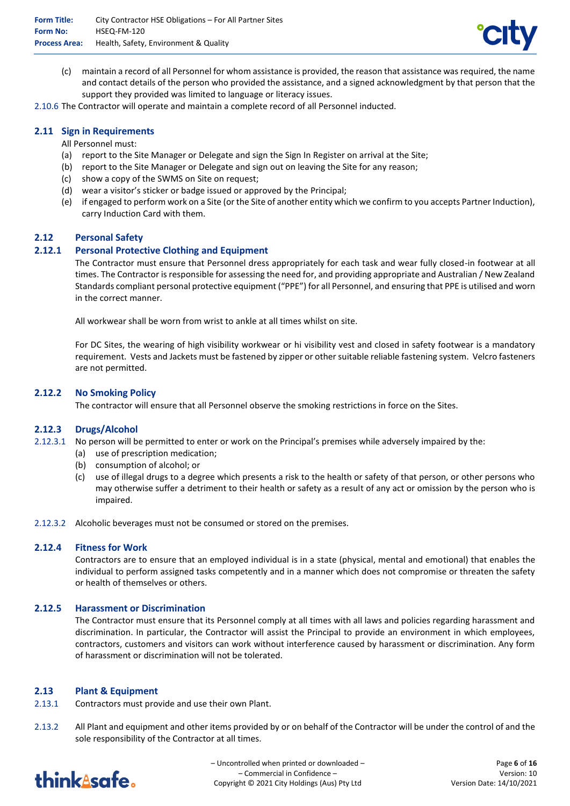

(c) maintain a record of all Personnel for whom assistance is provided, the reason that assistance was required, the name and contact details of the person who provided the assistance, and a signed acknowledgment by that person that the support they provided was limited to language or literacy issues.

2.10.6 The Contractor will operate and maintain a complete record of all Personnel inducted.

## **2.11 Sign in Requirements**

All Personnel must:

- (a) report to the Site Manager or Delegate and sign the Sign In Register on arrival at the Site;
- (b) report to the Site Manager or Delegate and sign out on leaving the Site for any reason;
- (c) show a copy of the SWMS on Site on request;
- (d) wear a visitor's sticker or badge issued or approved by the Principal;
- (e) if engaged to perform work on a Site (or the Site of another entity which we confirm to you accepts Partner Induction), carry Induction Card with them.

#### **2.12 Personal Safety**

## **2.12.1 Personal Protective Clothing and Equipment**

The Contractor must ensure that Personnel dress appropriately for each task and wear fully closed-in footwear at all times. The Contractor is responsible for assessing the need for, and providing appropriate and Australian / New Zealand Standards compliant personal protective equipment ("PPE") for all Personnel, and ensuring that PPE is utilised and worn in the correct manner.

All workwear shall be worn from wrist to ankle at all times whilst on site.

For DC Sites, the wearing of high visibility workwear or hi visibility vest and closed in safety footwear is a mandatory requirement. Vests and Jackets must be fastened by zipper or other suitable reliable fastening system. Velcro fasteners are not permitted.

#### **2.12.2 No Smoking Policy**

The contractor will ensure that all Personnel observe the smoking restrictions in force on the Sites.

#### **2.12.3 Drugs/Alcohol**

- 2.12.3.1 No person will be permitted to enter or work on the Principal's premises while adversely impaired by the:
	- (a) use of prescription medication;
	- (b) consumption of alcohol; or
	- (c) use of illegal drugs to a degree which presents a risk to the health or safety of that person, or other persons who may otherwise suffer a detriment to their health or safety as a result of any act or omission by the person who is impaired.
- 2.12.3.2 Alcoholic beverages must not be consumed or stored on the premises.

#### **2.12.4 Fitness for Work**

Contractors are to ensure that an employed individual is in a state (physical, mental and emotional) that enables the individual to perform assigned tasks competently and in a manner which does not compromise or threaten the safety or health of themselves or others.

#### **2.12.5 Harassment or Discrimination**

The Contractor must ensure that its Personnel comply at all times with all laws and policies regarding harassment and discrimination. In particular, the Contractor will assist the Principal to provide an environment in which employees, contractors, customers and visitors can work without interference caused by harassment or discrimination. Any form of harassment or discrimination will not be tolerated.

#### **2.13 Plant & Equipment**

- 2.13.1 Contractors must provide and use their own Plant.
- 2.13.2 All Plant and equipment and other items provided by or on behalf of the Contractor will be under the control of and the sole responsibility of the Contractor at all times.



– Uncontrolled when printed or downloaded – – Commercial in Confidence – Copyright © 2021 City Holdings (Aus) Pty Ltd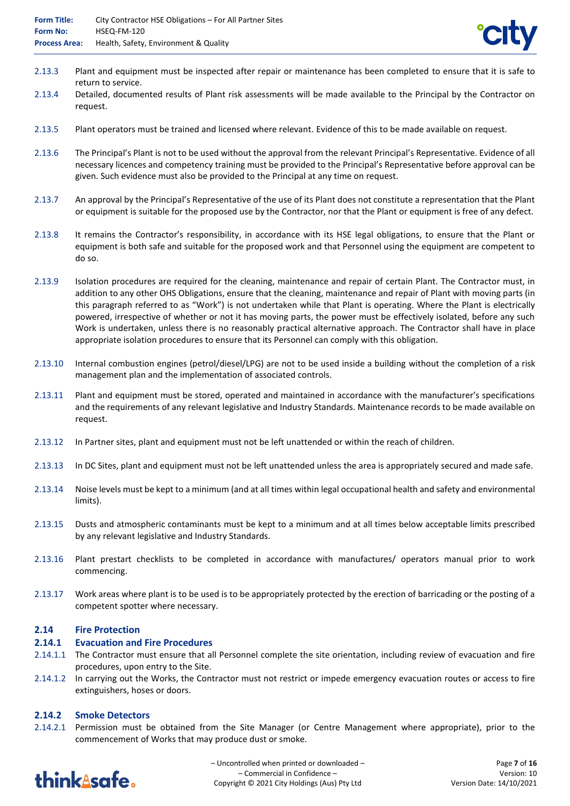- 2.13.3 Plant and equipment must be inspected after repair or maintenance has been completed to ensure that it is safe to return to service.
- 2.13.4 Detailed, documented results of Plant risk assessments will be made available to the Principal by the Contractor on request.
- 2.13.5 Plant operators must be trained and licensed where relevant. Evidence of this to be made available on request.
- 2.13.6 The Principal's Plant is not to be used without the approval from the relevant Principal's Representative. Evidence of all necessary licences and competency training must be provided to the Principal's Representative before approval can be given. Such evidence must also be provided to the Principal at any time on request.
- 2.13.7 An approval by the Principal's Representative of the use of its Plant does not constitute a representation that the Plant or equipment is suitable for the proposed use by the Contractor, nor that the Plant or equipment is free of any defect.
- 2.13.8 It remains the Contractor's responsibility, in accordance with its HSE legal obligations, to ensure that the Plant or equipment is both safe and suitable for the proposed work and that Personnel using the equipment are competent to do so.
- 2.13.9 Isolation procedures are required for the cleaning, maintenance and repair of certain Plant. The Contractor must, in addition to any other OHS Obligations, ensure that the cleaning, maintenance and repair of Plant with moving parts (in this paragraph referred to as "Work") is not undertaken while that Plant is operating. Where the Plant is electrically powered, irrespective of whether or not it has moving parts, the power must be effectively isolated, before any such Work is undertaken, unless there is no reasonably practical alternative approach. The Contractor shall have in place appropriate isolation procedures to ensure that its Personnel can comply with this obligation.
- 2.13.10 Internal combustion engines (petrol/diesel/LPG) are not to be used inside a building without the completion of a risk management plan and the implementation of associated controls.
- 2.13.11 Plant and equipment must be stored, operated and maintained in accordance with the manufacturer's specifications and the requirements of any relevant legislative and Industry Standards. Maintenance records to be made available on request.
- 2.13.12 In Partner sites, plant and equipment must not be left unattended or within the reach of children.
- 2.13.13 In DC Sites, plant and equipment must not be left unattended unless the area is appropriately secured and made safe.
- 2.13.14 Noise levels must be kept to a minimum (and at all times within legal occupational health and safety and environmental limits).
- 2.13.15 Dusts and atmospheric contaminants must be kept to a minimum and at all times below acceptable limits prescribed by any relevant legislative and Industry Standards.
- 2.13.16 Plant prestart checklists to be completed in accordance with manufactures/ operators manual prior to work commencing.
- 2.13.17 Work areas where plant is to be used is to be appropriately protected by the erection of barricading or the posting of a competent spotter where necessary.

#### **2.14 Fire Protection**

#### **2.14.1 Evacuation and Fire Procedures**

- 2.14.1.1 The Contractor must ensure that all Personnel complete the site orientation, including review of evacuation and fire procedures, upon entry to the Site.
- 2.14.1.2 In carrying out the Works, the Contractor must not restrict or impede emergency evacuation routes or access to fire extinguishers, hoses or doors.

# **2.14.2 Smoke Detectors**

2.14.2.1 Permission must be obtained from the Site Manager (or Centre Management where appropriate), prior to the commencement of Works that may produce dust or smoke.



– Uncontrolled when printed or downloaded – – Commercial in Confidence – Copyright © 2021 City Holdings (Aus) Pty Ltd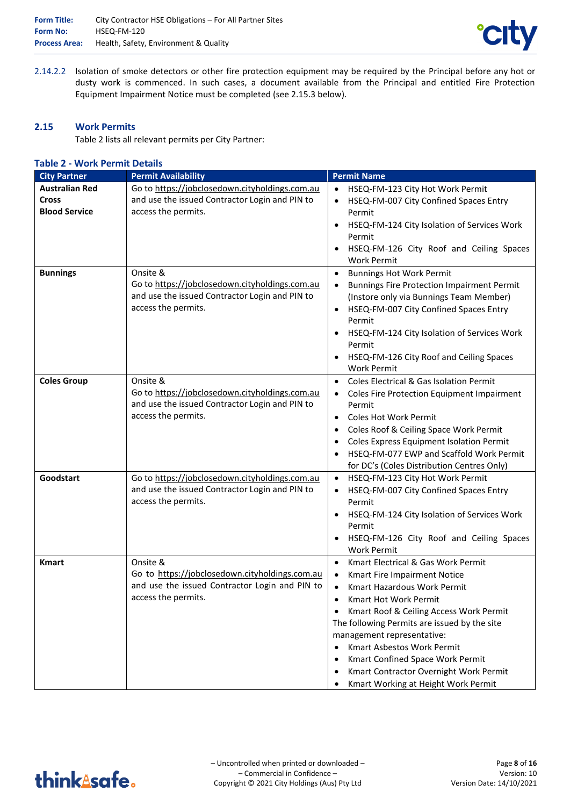

2.14.2.2 Isolation of smoke detectors or other fire protection equipment may be required by the Principal before any hot or dusty work is commenced. In such cases, a document available from the Principal and entitled Fire Protection Equipment Impairment Notice must be completed (see 2.15.3 below).

## **2.15 Work Permits**

Table 2 lists all relevant permits per City Partner:

#### **Table 2 - Work Permit Details**

| <b>City Partner</b>                                           | <b>Permit Availability</b>                                                                                                          | <b>Permit Name</b>                                                                                                                                                                                                                                                                                                                                                                                                 |
|---------------------------------------------------------------|-------------------------------------------------------------------------------------------------------------------------------------|--------------------------------------------------------------------------------------------------------------------------------------------------------------------------------------------------------------------------------------------------------------------------------------------------------------------------------------------------------------------------------------------------------------------|
| <b>Australian Red</b><br><b>Cross</b><br><b>Blood Service</b> | Go to https://jobclosedown.cityholdings.com.au<br>and use the issued Contractor Login and PIN to<br>access the permits.             | HSEQ-FM-123 City Hot Work Permit<br>$\bullet$<br>HSEQ-FM-007 City Confined Spaces Entry<br>Permit<br>HSEQ-FM-124 City Isolation of Services Work<br>Permit<br>HSEQ-FM-126 City Roof and Ceiling Spaces<br><b>Work Permit</b>                                                                                                                                                                                       |
| <b>Bunnings</b>                                               | Onsite &<br>Go to https://jobclosedown.cityholdings.com.au<br>and use the issued Contractor Login and PIN to<br>access the permits. | <b>Bunnings Hot Work Permit</b><br>$\bullet$<br><b>Bunnings Fire Protection Impairment Permit</b><br>$\bullet$<br>(Instore only via Bunnings Team Member)<br>HSEQ-FM-007 City Confined Spaces Entry<br>Permit<br>HSEQ-FM-124 City Isolation of Services Work<br>Permit<br>HSEQ-FM-126 City Roof and Ceiling Spaces<br><b>Work Permit</b>                                                                           |
| <b>Coles Group</b>                                            | Onsite &<br>Go to https://jobclosedown.cityholdings.com.au<br>and use the issued Contractor Login and PIN to<br>access the permits. | Coles Electrical & Gas Isolation Permit<br>Coles Fire Protection Equipment Impairment<br>Permit<br><b>Coles Hot Work Permit</b><br>$\bullet$<br>Coles Roof & Ceiling Space Work Permit<br>Coles Express Equipment Isolation Permit<br>HSEQ-FM-077 EWP and Scaffold Work Permit<br>for DC's (Coles Distribution Centres Only)                                                                                       |
| Goodstart                                                     | Go to https://jobclosedown.cityholdings.com.au<br>and use the issued Contractor Login and PIN to<br>access the permits.             | HSEQ-FM-123 City Hot Work Permit<br>$\bullet$<br>HSEQ-FM-007 City Confined Spaces Entry<br>٠<br>Permit<br>HSEQ-FM-124 City Isolation of Services Work<br>Permit<br>HSEQ-FM-126 City Roof and Ceiling Spaces<br><b>Work Permit</b>                                                                                                                                                                                  |
| <b>Kmart</b>                                                  | Onsite &<br>Go to https://jobclosedown.cityholdings.com.au<br>and use the issued Contractor Login and PIN to<br>access the permits. | Kmart Electrical & Gas Work Permit<br>Kmart Fire Impairment Notice<br><b>Kmart Hazardous Work Permit</b><br>Kmart Hot Work Permit<br>Kmart Roof & Ceiling Access Work Permit<br>The following Permits are issued by the site<br>management representative:<br>Kmart Asbestos Work Permit<br>٠<br>Kmart Confined Space Work Permit<br>Kmart Contractor Overnight Work Permit<br>Kmart Working at Height Work Permit |

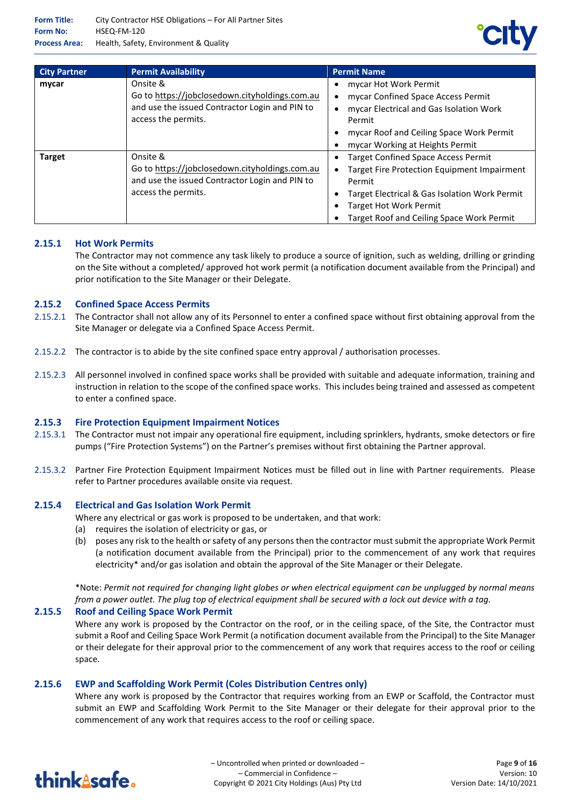

| <b>City Partner</b> | <b>Permit Availability</b>                                                                                                          | <b>Permit Name</b>                                                                                                                                                                                                                        |
|---------------------|-------------------------------------------------------------------------------------------------------------------------------------|-------------------------------------------------------------------------------------------------------------------------------------------------------------------------------------------------------------------------------------------|
| mycar               | Onsite &<br>Go to https://jobclosedown.cityholdings.com.au<br>and use the issued Contractor Login and PIN to<br>access the permits. | mycar Hot Work Permit<br>mycar Confined Space Access Permit<br>mycar Electrical and Gas Isolation Work<br>Permit<br>mycar Roof and Ceiling Space Work Permit<br>mycar Working at Heights Permit                                           |
| <b>Target</b>       | Onsite &<br>Go to https://jobclosedown.cityholdings.com.au<br>and use the issued Contractor Login and PIN to<br>access the permits. | <b>Target Confined Space Access Permit</b><br><b>Target Fire Protection Equipment Impairment</b><br>Permit<br>Target Electrical & Gas Isolation Work Permit<br><b>Target Hot Work Permit</b><br>Target Roof and Ceiling Space Work Permit |

# **2.15.1 Hot Work Permits**

The Contractor may not commence any task likely to produce a source of ignition, such as welding, drilling or grinding on the Site without a completed/ approved hot work permit (a notification document available from the Principal) and prior notification to the Site Manager or their Delegate.

#### **2.15.2 Confined Space Access Permits**

- 2.15.2.1 The Contractor shall not allow any of its Personnel to enter a confined space without first obtaining approval from the Site Manager or delegate via a Confined Space Access Permit.
- 2.15.2.2 The contractor is to abide by the site confined space entry approval / authorisation processes.
- 2.15.2.3 All personnel involved in confined space works shall be provided with suitable and adequate information, training and instruction in relation to the scope of the confined space works. This includes being trained and assessed as competent to enter a confined space.

#### **2.15.3 Fire Protection Equipment Impairment Notices**

- 2.15.3.1 The Contractor must not impair any operational fire equipment, including sprinklers, hydrants, smoke detectors or fire pumps ("Fire Protection Systems") on the Partner's premises without first obtaining the Partner approval.
- 2.15.3.2 Partner Fire Protection Equipment Impairment Notices must be filled out in line with Partner requirements. Please refer to Partner procedures available onsite via request.

#### **2.15.4 Electrical and Gas Isolation Work Permit**

- Where any electrical or gas work is proposed to be undertaken, and that work:
- (a) requires the isolation of electricity or gas, or
- (b) poses any risk to the health or safety of any persons then the contractor must submit the appropriate Work Permit (a notification document available from the Principal) prior to the commencement of any work that requires electricity\* and/or gas isolation and obtain the approval of the Site Manager or their Delegate.

\*Note: *Permit not required for changing light globes or when electrical equipment can be unplugged by normal means from a power outlet. The plug top of electrical equipment shall be secured with a lock out device with a tag.*

#### **2.15.5 Roof and Ceiling Space Work Permit**

Where any work is proposed by the Contractor on the roof, or in the ceiling space, of the Site, the Contractor must submit a Roof and Ceiling Space Work Permit (a notification document available from the Principal) to the Site Manager or their delegate for their approval prior to the commencement of any work that requires access to the roof or ceiling space.

# **2.15.6 EWP and Scaffolding Work Permit (Coles Distribution Centres only)**

Where any work is proposed by the Contractor that requires working from an EWP or Scaffold, the Contractor must submit an EWP and Scaffolding Work Permit to the Site Manager or their delegate for their approval prior to the commencement of any work that requires access to the roof or ceiling space.

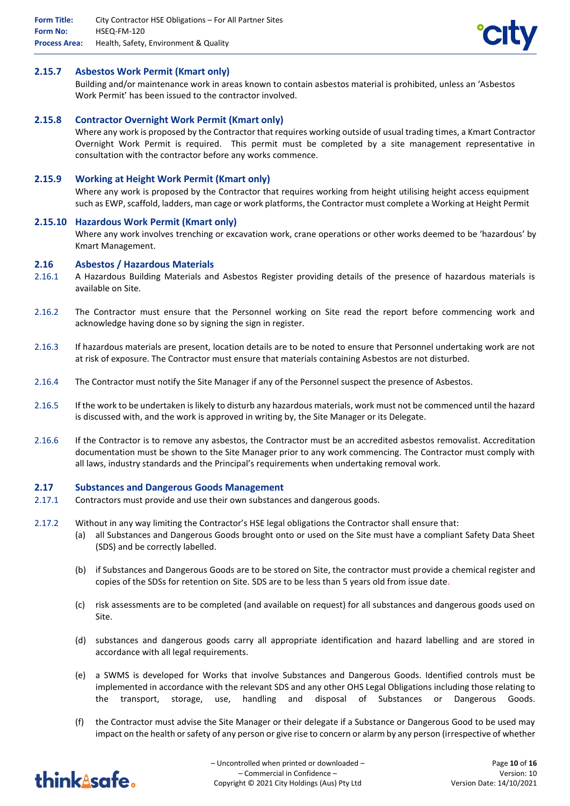

#### **2.15.7 Asbestos Work Permit (Kmart only)**

Building and/or maintenance work in areas known to contain asbestos material is prohibited, unless an 'Asbestos Work Permit' has been issued to the contractor involved.

## **2.15.8 Contractor Overnight Work Permit (Kmart only)**

Where any work is proposed by the Contractor that requires working outside of usual trading times, a Kmart Contractor Overnight Work Permit is required. This permit must be completed by a site management representative in consultation with the contractor before any works commence.

## **2.15.9 Working at Height Work Permit (Kmart only)**

Where any work is proposed by the Contractor that requires working from height utilising height access equipment such as EWP, scaffold, ladders, man cage or work platforms, the Contractor must complete a Working at Height Permit

#### **2.15.10 Hazardous Work Permit (Kmart only)**

Where any work involves trenching or excavation work, crane operations or other works deemed to be 'hazardous' by Kmart Management.

#### **2.16 Asbestos / Hazardous Materials**

- 2.16.1 A Hazardous Building Materials and Asbestos Register providing details of the presence of hazardous materials is available on Site.
- 2.16.2 The Contractor must ensure that the Personnel working on Site read the report before commencing work and acknowledge having done so by signing the sign in register.
- 2.16.3 If hazardous materials are present, location details are to be noted to ensure that Personnel undertaking work are not at risk of exposure. The Contractor must ensure that materials containing Asbestos are not disturbed.
- 2.16.4 The Contractor must notify the Site Manager if any of the Personnel suspect the presence of Asbestos.
- 2.16.5 If the work to be undertaken is likely to disturb any hazardous materials, work must not be commenced until the hazard is discussed with, and the work is approved in writing by, the Site Manager or its Delegate.
- 2.16.6 If the Contractor is to remove any asbestos, the Contractor must be an accredited asbestos removalist. Accreditation documentation must be shown to the Site Manager prior to any work commencing. The Contractor must comply with all laws, industry standards and the Principal's requirements when undertaking removal work.

#### **2.17 Substances and Dangerous Goods Management**

- 2.17.1 Contractors must provide and use their own substances and dangerous goods.
- 2.17.2 Without in any way limiting the Contractor's HSE legal obligations the Contractor shall ensure that:
	- (a) all Substances and Dangerous Goods brought onto or used on the Site must have a compliant Safety Data Sheet (SDS) and be correctly labelled.
	- (b) if Substances and Dangerous Goods are to be stored on Site, the contractor must provide a chemical register and copies of the SDSs for retention on Site. SDS are to be less than 5 years old from issue date.
	- (c) risk assessments are to be completed (and available on request) for all substances and dangerous goods used on Site.
	- (d) substances and dangerous goods carry all appropriate identification and hazard labelling and are stored in accordance with all legal requirements.
	- (e) a SWMS is developed for Works that involve Substances and Dangerous Goods. Identified controls must be implemented in accordance with the relevant SDS and any other OHS Legal Obligations including those relating to the transport, storage, use, handling and disposal of Substances or Dangerous Goods.
	- (f) the Contractor must advise the Site Manager or their delegate if a Substance or Dangerous Good to be used may impact on the health or safety of any person or give rise to concern or alarm by any person (irrespective of whether

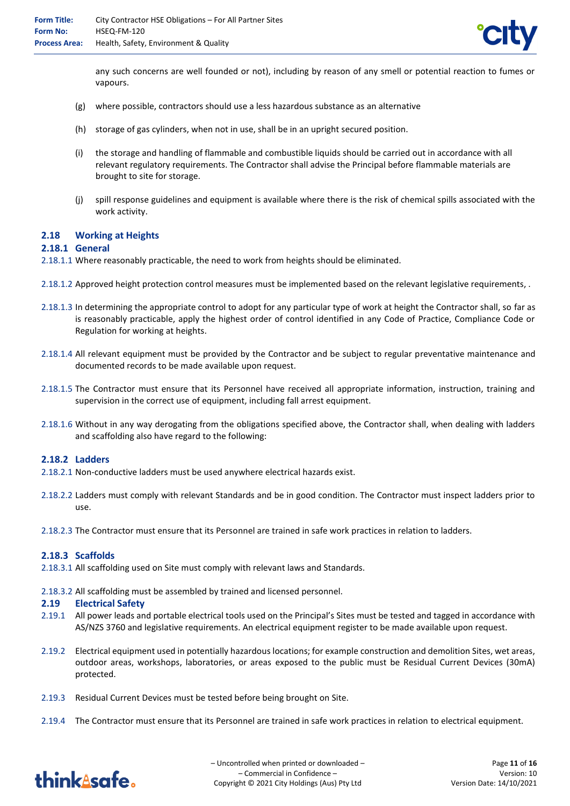

any such concerns are well founded or not), including by reason of any smell or potential reaction to fumes or vapours.

- (g) where possible, contractors should use a less hazardous substance as an alternative
- (h) storage of gas cylinders, when not in use, shall be in an upright secured position.
- (i) the storage and handling of flammable and combustible liquids should be carried out in accordance with all relevant regulatory requirements. The Contractor shall advise the Principal before flammable materials are brought to site for storage.
- (j) spill response guidelines and equipment is available where there is the risk of chemical spills associated with the work activity.

## **2.18 Working at Heights**

#### **2.18.1 General**

2.18.1.1 Where reasonably practicable, the need to work from heights should be eliminated.

- 2.18.1.2 Approved height protection control measures must be implemented based on the relevant legislative requirements, .
- 2.18.1.3 In determining the appropriate control to adopt for any particular type of work at height the Contractor shall, so far as is reasonably practicable, apply the highest order of control identified in any Code of Practice, Compliance Code or Regulation for working at heights.
- 2.18.1.4 All relevant equipment must be provided by the Contractor and be subject to regular preventative maintenance and documented records to be made available upon request.
- 2.18.1.5 The Contractor must ensure that its Personnel have received all appropriate information, instruction, training and supervision in the correct use of equipment, including fall arrest equipment.
- 2.18.1.6 Without in any way derogating from the obligations specified above, the Contractor shall, when dealing with ladders and scaffolding also have regard to the following:

#### **2.18.2 Ladders**

- 2.18.2.1 Non-conductive ladders must be used anywhere electrical hazards exist.
- 2.18.2.2 Ladders must comply with relevant Standards and be in good condition. The Contractor must inspect ladders prior to use.
- 2.18.2.3 The Contractor must ensure that its Personnel are trained in safe work practices in relation to ladders.

#### **2.18.3 Scaffolds**

- 2.18.3.1 All scaffolding used on Site must comply with relevant laws and Standards.
- 2.18.3.2 All scaffolding must be assembled by trained and licensed personnel.

#### **2.19 Electrical Safety**

- 2.19.1 All power leads and portable electrical tools used on the Principal's Sites must be tested and tagged in accordance with AS/NZS 3760 and legislative requirements. An electrical equipment register to be made available upon request.
- 2.19.2 Electrical equipment used in potentially hazardous locations; for example construction and demolition Sites, wet areas, outdoor areas, workshops, laboratories, or areas exposed to the public must be Residual Current Devices (30mA) protected.
- 2.19.3 Residual Current Devices must be tested before being brought on Site.
- 2.19.4 The Contractor must ensure that its Personnel are trained in safe work practices in relation to electrical equipment.

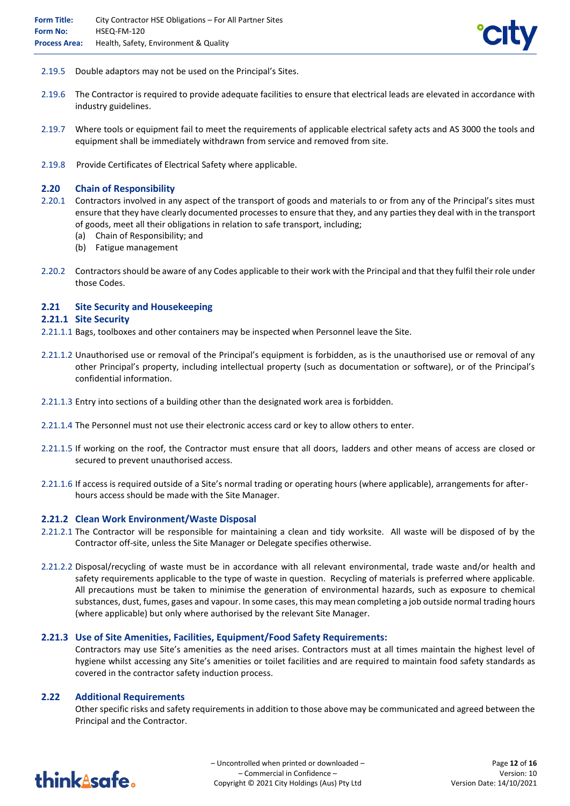

- 2.19.5 Double adaptors may not be used on the Principal's Sites.
- 2.19.6 The Contractor is required to provide adequate facilities to ensure that electrical leads are elevated in accordance with industry guidelines.
- 2.19.7 Where tools or equipment fail to meet the requirements of applicable electrical safety acts and AS 3000 the tools and equipment shall be immediately withdrawn from service and removed from site.
- 2.19.8 Provide Certificates of Electrical Safety where applicable.

## **2.20 Chain of Responsibility**

- 2.20.1 Contractors involved in any aspect of the transport of goods and materials to or from any of the Principal's sites must ensure that they have clearly documented processes to ensure that they, and any parties they deal with in the transport of goods, meet all their obligations in relation to safe transport, including;
	- (a) Chain of Responsibility; and
	- (b) Fatigue management
- 2.20.2 Contractors should be aware of any Codes applicable to their work with the Principal and that they fulfil their role under those Codes.

## **2.21 Site Security and Housekeeping**

#### **2.21.1 Site Security**

- 2.21.1.1 Bags, toolboxes and other containers may be inspected when Personnel leave the Site.
- 2.21.1.2 Unauthorised use or removal of the Principal's equipment is forbidden, as is the unauthorised use or removal of any other Principal's property, including intellectual property (such as documentation or software), or of the Principal's confidential information.
- 2.21.1.3 Entry into sections of a building other than the designated work area is forbidden.
- 2.21.1.4 The Personnel must not use their electronic access card or key to allow others to enter.
- 2.21.1.5 If working on the roof, the Contractor must ensure that all doors, ladders and other means of access are closed or secured to prevent unauthorised access.
- 2.21.1.6 If access is required outside of a Site's normal trading or operating hours (where applicable), arrangements for afterhours access should be made with the Site Manager.

#### **2.21.2 Clean Work Environment/Waste Disposal**

- 2.21.2.1 The Contractor will be responsible for maintaining a clean and tidy worksite. All waste will be disposed of by the Contractor off-site, unless the Site Manager or Delegate specifies otherwise.
- 2.21.2.2 Disposal/recycling of waste must be in accordance with all relevant environmental, trade waste and/or health and safety requirements applicable to the type of waste in question. Recycling of materials is preferred where applicable. All precautions must be taken to minimise the generation of environmental hazards, such as exposure to chemical substances, dust, fumes, gases and vapour. In some cases, this may mean completing a job outside normal trading hours (where applicable) but only where authorised by the relevant Site Manager.

#### **2.21.3 Use of Site Amenities, Facilities, Equipment/Food Safety Requirements:**

Contractors may use Site's amenities as the need arises. Contractors must at all times maintain the highest level of hygiene whilst accessing any Site's amenities or toilet facilities and are required to maintain food safety standards as covered in the contractor safety induction process.

#### **2.22 Additional Requirements**

Other specific risks and safety requirements in addition to those above may be communicated and agreed between the Principal and the Contractor.

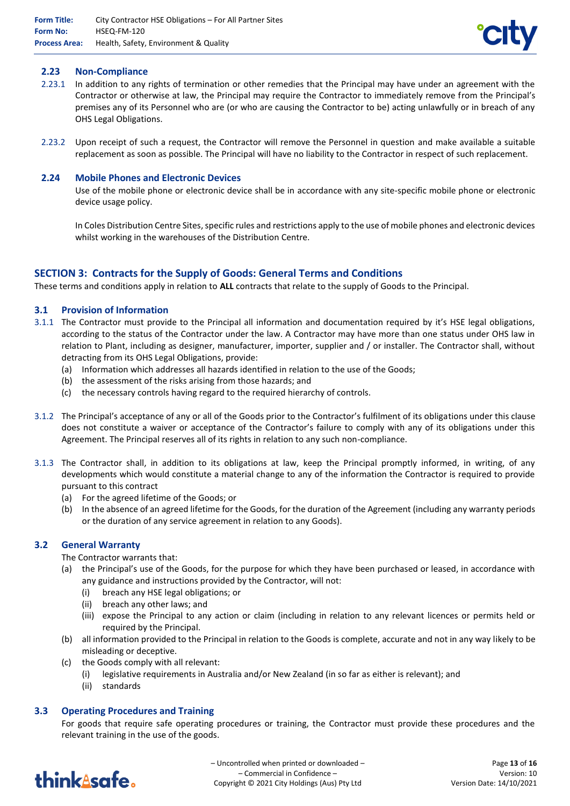

## **2.23 Non-Compliance**

- 2.23.1 In addition to any rights of termination or other remedies that the Principal may have under an agreement with the Contractor or otherwise at law, the Principal may require the Contractor to immediately remove from the Principal's premises any of its Personnel who are (or who are causing the Contractor to be) acting unlawfully or in breach of any OHS Legal Obligations.
- 2.23.2 Upon receipt of such a request, the Contractor will remove the Personnel in question and make available a suitable replacement as soon as possible. The Principal will have no liability to the Contractor in respect of such replacement.

## **2.24 Mobile Phones and Electronic Devices**

Use of the mobile phone or electronic device shall be in accordance with any site-specific mobile phone or electronic device usage policy.

In Coles Distribution Centre Sites, specific rules and restrictions apply to the use of mobile phones and electronic devices whilst working in the warehouses of the Distribution Centre.

# **SECTION 3: Contracts for the Supply of Goods: General Terms and Conditions**

These terms and conditions apply in relation to **ALL** contracts that relate to the supply of Goods to the Principal.

## **3.1 Provision of Information**

- 3.1.1 The Contractor must provide to the Principal all information and documentation required by it's HSE legal obligations, according to the status of the Contractor under the law. A Contractor may have more than one status under OHS law in relation to Plant, including as designer, manufacturer, importer, supplier and / or installer. The Contractor shall, without detracting from its OHS Legal Obligations, provide:
	- (a) Information which addresses all hazards identified in relation to the use of the Goods;
	- (b) the assessment of the risks arising from those hazards; and
	- (c) the necessary controls having regard to the required hierarchy of controls.
- 3.1.2 The Principal's acceptance of any or all of the Goods prior to the Contractor's fulfilment of its obligations under this clause does not constitute a waiver or acceptance of the Contractor's failure to comply with any of its obligations under this Agreement. The Principal reserves all of its rights in relation to any such non-compliance.
- 3.1.3 The Contractor shall, in addition to its obligations at law, keep the Principal promptly informed, in writing, of any developments which would constitute a material change to any of the information the Contractor is required to provide pursuant to this contract
	- (a) For the agreed lifetime of the Goods; or
	- (b) In the absence of an agreed lifetime for the Goods, for the duration of the Agreement (including any warranty periods or the duration of any service agreement in relation to any Goods).

#### **3.2 General Warranty**

The Contractor warrants that:

- (a) the Principal's use of the Goods, for the purpose for which they have been purchased or leased, in accordance with any guidance and instructions provided by the Contractor, will not:
	- (i) breach any HSE legal obligations; or
	- (ii) breach any other laws; and
	- (iii) expose the Principal to any action or claim (including in relation to any relevant licences or permits held or required by the Principal.
- (b) all information provided to the Principal in relation to the Goods is complete, accurate and not in any way likely to be misleading or deceptive.
- (c) the Goods comply with all relevant:
	- (i) legislative requirements in Australia and/or New Zealand (in so far as either is relevant); and
	- (ii) standards

# **3.3 Operating Procedures and Training**

For goods that require safe operating procedures or training, the Contractor must provide these procedures and the relevant training in the use of the goods.

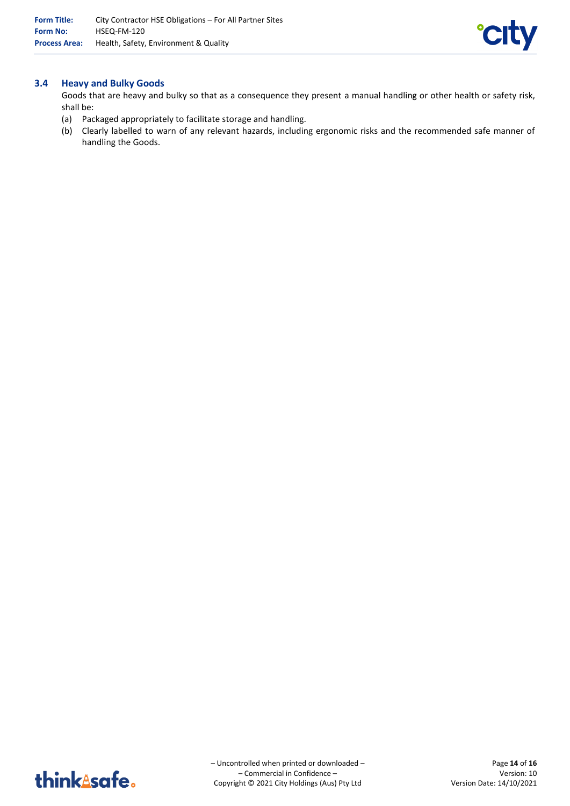

# **3.4 Heavy and Bulky Goods**

Goods that are heavy and bulky so that as a consequence they present a manual handling or other health or safety risk, shall be:

- (a) Packaged appropriately to facilitate storage and handling.
- (b) Clearly labelled to warn of any relevant hazards, including ergonomic risks and the recommended safe manner of handling the Goods.

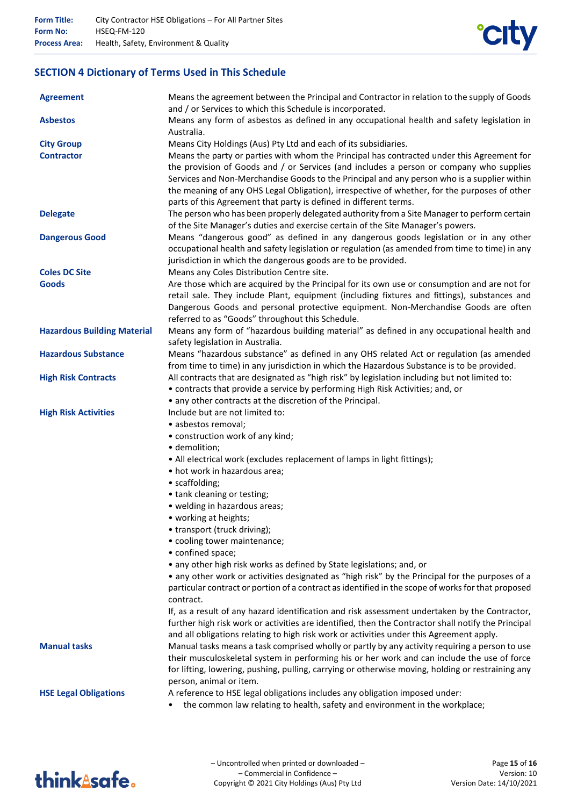

# **SECTION 4 Dictionary of Terms Used in This Schedule**

| <b>Agreement</b>                   | Means the agreement between the Principal and Contractor in relation to the supply of Goods<br>and / or Services to which this Schedule is incorporated. |
|------------------------------------|----------------------------------------------------------------------------------------------------------------------------------------------------------|
| <b>Asbestos</b>                    | Means any form of asbestos as defined in any occupational health and safety legislation in<br>Australia.                                                 |
| <b>City Group</b>                  | Means City Holdings (Aus) Pty Ltd and each of its subsidiaries.                                                                                          |
| <b>Contractor</b>                  | Means the party or parties with whom the Principal has contracted under this Agreement for                                                               |
|                                    | the provision of Goods and / or Services (and includes a person or company who supplies                                                                  |
|                                    | Services and Non-Merchandise Goods to the Principal and any person who is a supplier within                                                              |
|                                    | the meaning of any OHS Legal Obligation), irrespective of whether, for the purposes of other                                                             |
|                                    | parts of this Agreement that party is defined in different terms.                                                                                        |
| <b>Delegate</b>                    | The person who has been properly delegated authority from a Site Manager to perform certain                                                              |
|                                    | of the Site Manager's duties and exercise certain of the Site Manager's powers.                                                                          |
| <b>Dangerous Good</b>              | Means "dangerous good" as defined in any dangerous goods legislation or in any other                                                                     |
|                                    | occupational health and safety legislation or regulation (as amended from time to time) in any                                                           |
|                                    | jurisdiction in which the dangerous goods are to be provided.                                                                                            |
| <b>Coles DC Site</b>               | Means any Coles Distribution Centre site.                                                                                                                |
| <b>Goods</b>                       | Are those which are acquired by the Principal for its own use or consumption and are not for                                                             |
|                                    | retail sale. They include Plant, equipment (including fixtures and fittings), substances and                                                             |
|                                    | Dangerous Goods and personal protective equipment. Non-Merchandise Goods are often                                                                       |
|                                    | referred to as "Goods" throughout this Schedule.                                                                                                         |
| <b>Hazardous Building Material</b> | Means any form of "hazardous building material" as defined in any occupational health and                                                                |
|                                    | safety legislation in Australia.                                                                                                                         |
| <b>Hazardous Substance</b>         | Means "hazardous substance" as defined in any OHS related Act or regulation (as amended                                                                  |
|                                    | from time to time) in any jurisdiction in which the Hazardous Substance is to be provided.                                                               |
| <b>High Risk Contracts</b>         | All contracts that are designated as "high risk" by legislation including but not limited to:                                                            |
|                                    | • contracts that provide a service by performing High Risk Activities; and, or                                                                           |
|                                    | • any other contracts at the discretion of the Principal.                                                                                                |
| <b>High Risk Activities</b>        | Include but are not limited to:                                                                                                                          |
|                                    | · asbestos removal;                                                                                                                                      |
|                                    | • construction work of any kind;                                                                                                                         |
|                                    | · demolition;                                                                                                                                            |
|                                    | • All electrical work (excludes replacement of lamps in light fittings);                                                                                 |
|                                    | • hot work in hazardous area;                                                                                                                            |
|                                    | • scaffolding;                                                                                                                                           |
|                                    | • tank cleaning or testing;                                                                                                                              |
|                                    | • welding in hazardous areas;                                                                                                                            |
|                                    | • working at heights;                                                                                                                                    |
|                                    | • transport (truck driving);<br>• cooling tower maintenance;                                                                                             |
|                                    | • confined space;                                                                                                                                        |
|                                    | • any other high risk works as defined by State legislations; and, or                                                                                    |
|                                    | • any other work or activities designated as "high risk" by the Principal for the purposes of a                                                          |
|                                    | particular contract or portion of a contract as identified in the scope of works for that proposed                                                       |
|                                    | contract.                                                                                                                                                |
|                                    | If, as a result of any hazard identification and risk assessment undertaken by the Contractor,                                                           |
|                                    | further high risk work or activities are identified, then the Contractor shall notify the Principal                                                      |
|                                    | and all obligations relating to high risk work or activities under this Agreement apply.                                                                 |
| <b>Manual tasks</b>                | Manual tasks means a task comprised wholly or partly by any activity requiring a person to use                                                           |
|                                    | their musculoskeletal system in performing his or her work and can include the use of force                                                              |
|                                    | for lifting, lowering, pushing, pulling, carrying or otherwise moving, holding or restraining any                                                        |
|                                    | person, animal or item.                                                                                                                                  |
| <b>HSE Legal Obligations</b>       | A reference to HSE legal obligations includes any obligation imposed under:                                                                              |
|                                    | the common law relating to health, safety and environment in the workplace;                                                                              |
|                                    |                                                                                                                                                          |